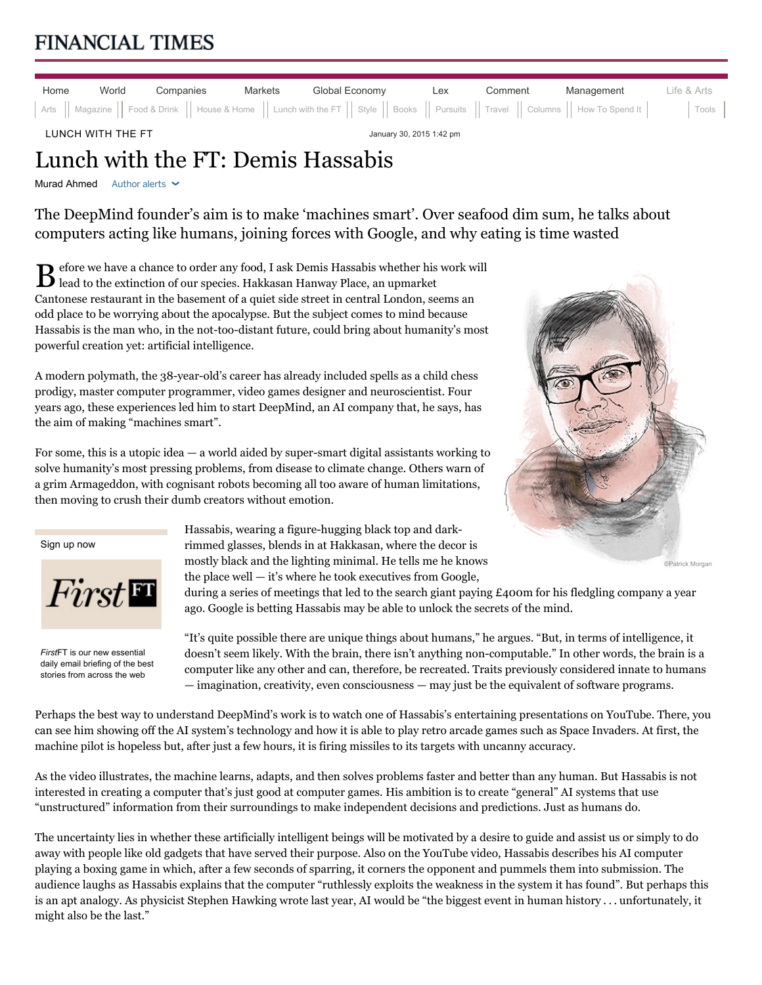## **FINANCIAL TIMES**



## Lunch with the FT: Demis Hassabis

Murad Ahmed Author alerts  $\sim$ 

[Sign](http://www.ft.com/nbe) up now

*First*FT is our new essential daily email briefing of the best stories from across the web

 $First$ 

The DeepMind founder's aim is to make 'machines smart'. Over seafood dim sum, he talks about computers acting like humans, joining forces with Google, and why eating is time wasted

 $\bf B$  efore we have a chance to order any food, I ask Demis Hassabis whether his work will lead to the extinction of our species. Hakkasan Hanway Place, an upmarket lead to the extinction of our species. Hakkasan Hanway Place, an upmarket Cantonese restaurant in the basement of a quiet side street in central London, seems an odd place to be worrying about the apocalypse. But the subject comes to mind because Hassabis is the man who, in the not-too-distant future, could bring about humanity's most powerful creation yet: artificial intelligence.

A modern polymath, the 38-year-old's career has already included spells as a child chess prodigy, master computer programmer, video games designer and neuroscientist. Four years ago, these experiences led him to start DeepMind, an AI company that, he says, has the aim of making "machines smart".

For some, this is a utopic idea  $-$  a world aided by super-smart digital assistants working to solve humanity's most pressing problems, from disease to climate change. Others warn of a grim Armageddon, with cognisant robots becoming all too aware of human limitations, then moving to crush their dumb creators without emotion.



©Patrick Morgan

Hassabis, wearing a figure-hugging black top and darkrimmed glasses, blends in at Hakkasan, where the decor is mostly black and the lighting minimal. He tells me he knows the place well — it's where he took executives from Google,

during a series of meetings that led to the search giant paying  $\epsilon$ 400m for his fledgling [company](http://www.ft.com/intl/cms/s/0/f92123b2-8702-11e3-aa31-00144feab7de.html) a year ago. Google is betting Hassabis may be able to unlock the secrets of the mind.

"It's quite possible there are unique things about humans," he argues. "But, in terms of intelligence, it doesn't seem likely. With the brain, there isn't anything non-computable." In other words, the brain is a computer like any other and can, therefore, be recreated. Traits previously considered innate to humans — imagination, creativity, even consciousness — may just be the equivalent of software programs.

Perhaps the best way to understand DeepMind's work is to watch one of Hassabis's entertaining [presentations](https://www.youtube.com/watch?v=F5PSyu7booU) on YouTube. There, you can see him showing off the AI system's technology and how it is able to play retro arcade games such as Space Invaders. At first, the machine pilot is hopeless but, after just a few hours, it is firing missiles to its targets with uncanny accuracy.

As the video illustrates, the machine learns, adapts, and then solves problems faster and better than any human. But Hassabis is not interested in creating a computer that's just good at computer games. His ambition is to create "general" AI systems that use "unstructured" information from their surroundings to make independent decisions and predictions. Just as humans do.

The uncertainty lies in whether these artificially intelligent beings will be motivated by a desire to guide and assist us or simply to do away with people like old gadgets that have served their purpose. Also on the YouTube video, Hassabis describes his AI computer playing a boxing game in which, after a few seconds of sparring, it corners the opponent and pummels them into submission. The audience laughs as Hassabis explains that the computer "ruthlessly exploits the weakness in the system it has found". But perhaps this is an apt analogy. As physicist Stephen Hawking wrote last year, AI would be "the biggest event in human history . . . unfortunately, it might also be the last."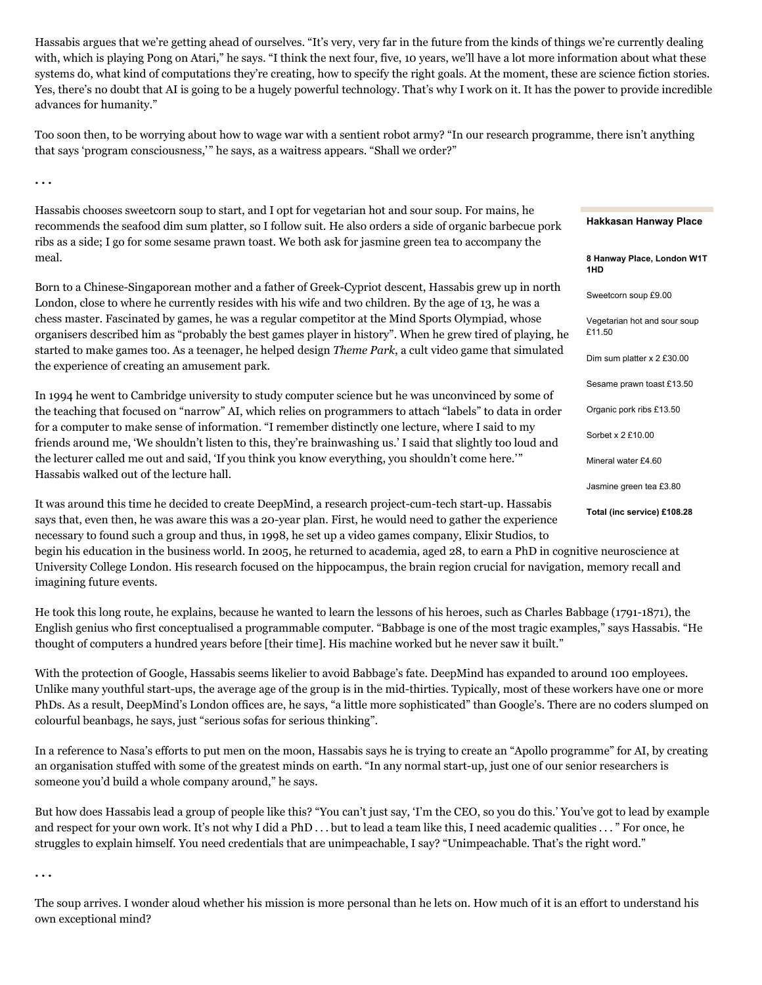Hassabis argues that we're getting ahead of ourselves. "It's very, very far in the future from the kinds of things we're currently dealing with, which is playing Pong on Atari," he says. "I think the next four, five, 10 years, we'll have a lot more information about what these systems do, what kind of computations they're creating, how to specify the right goals. At the moment, these are science fiction stories. Yes, there's no doubt that AI is going to be a hugely powerful technology. That's why I work on it. It has the power to provide incredible advances for humanity."

Too soon then, to be worrying about how to wage war with a sentient robot army? "In our research programme, there isn't anything that says 'program consciousness,'" he says, as a waitress appears. "Shall we order?"

**. . .**

Hassabis chooses sweetcorn soup to start, and I opt for vegetarian hot and sour soup. For mains, he recommends the seafood dim sum platter, so I follow suit. He also orders a side of organic barbecue por ribs as a side; I go for some sesame prawn toast. We both ask for jasmine green tea to accompany the meal.

Born to a Chinese-Singaporean mother and a father of Greek-Cypriot descent, Hassabis grew up in north London, close to where he currently resides with his wife and two children. By the age of 13, he was a chess master. Fascinated by games, he was a regular competitor at the Mind Sports Olympiad, whose organisers described him as "probably the best games player in history". When he grew tired of playing, started to make games too. As a teenager, he helped design *Theme Park*, a cult video game that simulate the experience of creating an amusement park.

In 1994 he went to Cambridge university to study computer science but he was unconvinced by some of the teaching that focused on "narrow" AI, which relies on programmers to attach "labels" to data in order for a computer to make sense of information. "I remember distinctly one lecture, where I said to my friends around me, 'We shouldn't listen to this, they're brainwashing us.' I said that slightly too loud and the lecturer called me out and said, 'If you think you know everything, you shouldn't come here.'" Hassabis walked out of the lecture hall.

It was around this time he decided to create DeepMind, a research project-cum-tech start-up. Hassabis says that, even then, he was aware this was a 20-year plan. First, he would need to gather the experience necessary to found such a group and thus, in 1998, he set up a video games company, Elixir Studios, to

begin his education in the business world. In 2005, he returned to academia, aged 28, to earn a PhD in cognitive neuroscience at University College London. His research focused on the hippocampus, the brain region crucial for navigation, memory recall and imagining future events.

He took this long route, he explains, because he wanted to learn the lessons of his heroes, such as Charles Babbage (1791-1871), the English genius who first conceptualised a programmable computer. "Babbage is one of the most tragic examples," says Hassabis. "He thought of computers a hundred years before [their time]. His machine worked but he never saw it built."

With the protection of Google, Hassabis seems likelier to avoid Babbage's fate. DeepMind has expanded to around 100 employees. Unlike many youthful start-ups, the average age of the group is in the mid-thirties. Typically, most of these workers have one or more PhDs. As a result, DeepMind's London offices are, he says, "a little more sophisticated" than Google's. There are no coders slumped on colourful beanbags, he says, just "serious sofas for serious thinking".

In a reference to Nasa's efforts to put men on the moon, Hassabis says he is trying to create an "Apollo programme" for AI, by creating an organisation stuffed with some of the greatest minds on earth. "In any normal start-up, just one of our senior researchers is someone you'd build a whole company around," he says.

But how does Hassabis lead a group of people like this? "You can't just say, 'I'm the CEO, so you do this.' You've got to lead by example and respect for your own work. It's not why I did a PhD . . . but to lead a team like this, I need academic qualities . . . " For once, he struggles to explain himself. You need credentials that are unimpeachable, I say? "Unimpeachable. That's the right word."

**. . .**

The soup arrives. I wonder aloud whether his mission is more personal than he lets on. How much of it is an effort to understand his own exceptional mind?

| ۰k | Hakkasan Hanway Place                  |
|----|----------------------------------------|
|    | 8 Hanway Place, London W1T<br>1HD      |
| h  | Sweetcorn soup £9.00                   |
| he | Vegetarian hot and sour soup<br>£11.50 |
| эd | Dim sum platter x 2 £30.00             |
|    | Sesame prawn toast £13.50              |
| эr | Organic pork ribs £13.50               |
| ſ  | Sorbet x 2 £10.00                      |
|    | Mineral water £4.60                    |
|    | Jasmine green tea £3.80                |
| h  | Total (inc service) £108.28            |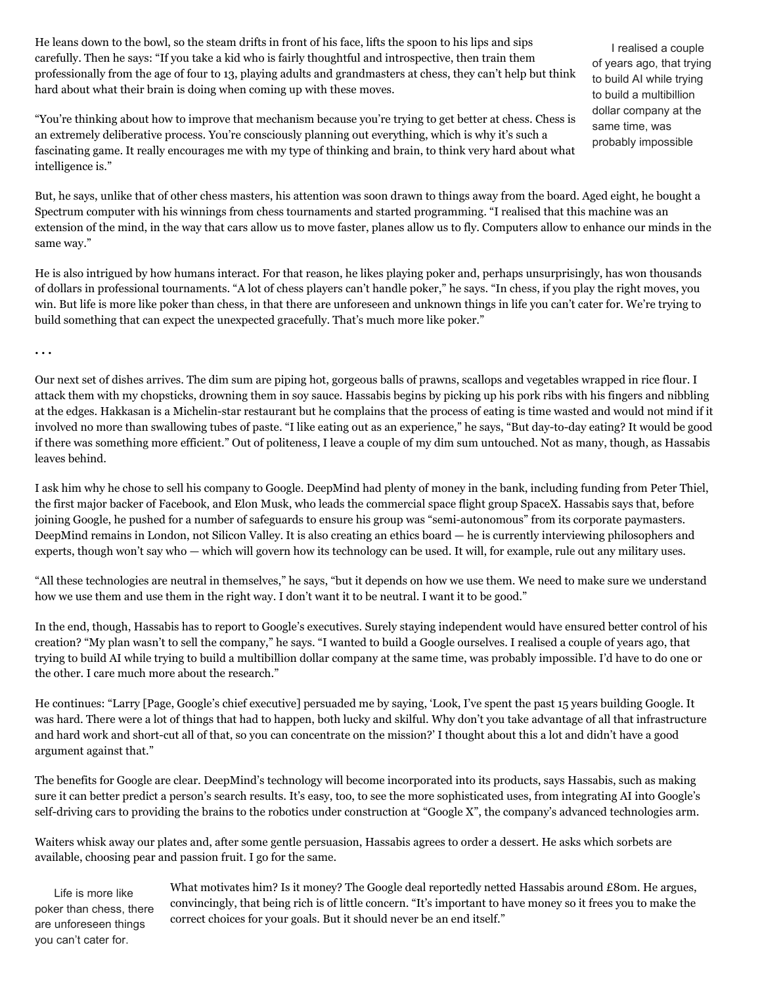He leans down to the bowl, so the steam drifts in front of his face, lifts the spoon to his lips and sips carefully. Then he says: "If you take a kid who is fairly thoughtful and introspective, then train them professionally from the age of four to 13, playing adults and grandmasters at chess, they can't help but think hard about what their brain is doing when coming up with these moves.

I realised a couple of years ago, that trying to build AI while trying to build a multibillion dollar company at the same time, was probably impossible

"You're thinking about how to improve that mechanism because you're trying to get better at chess. Chess is an extremely deliberative process. You're consciously planning out everything, which is why it's such a fascinating game. It really encourages me with my type of thinking and brain, to think very hard about what intelligence is."

But, he says, unlike that of other chess masters, his attention was soon drawn to things away from the board. Aged eight, he bought a Spectrum computer with his winnings from chess tournaments and started programming. "I realised that this machine was an extension of the mind, in the way that cars allow us to move faster, planes allow us to fly. Computers allow to enhance our minds in the same way."

He is also intrigued by how humans interact. For that reason, he likes playing poker and, perhaps unsurprisingly, has won thousands of dollars in professional tournaments. "A lot of chess players can't handle poker," he says. "In chess, if you play the right moves, you win. But life is more like poker than chess, in that there are unforeseen and unknown things in life you can't cater for. We're trying to build something that can expect the unexpected gracefully. That's much more like poker."

**. . .**

Our next set of dishes arrives. The dim sum are piping hot, gorgeous balls of prawns, scallops and vegetables wrapped in rice flour. I attack them with my chopsticks, drowning them in soy sauce. Hassabis begins by picking up his pork ribs with his fingers and nibbling at the edges. Hakkasan is a Michelin-star restaurant but he complains that the process of eating is time wasted and would not mind if it involved no more than swallowing tubes of paste. "I like eating out as an experience," he says, "But day-to-day eating? It would be good if there was something more efficient." Out of politeness, I leave a couple of my dim sum untouched. Not as many, though, as Hassabis leaves behind.

I ask him why he chose to sell his company to Google. DeepMind had plenty of money in the bank, including funding from Peter Thiel, the first major backer of Facebook, and Elon Musk, who leads the commercial space flight group SpaceX. Hassabis says that, before joining Google, he pushed for a number of safeguards to ensure his group was "semi-autonomous" from its corporate paymasters. DeepMind remains in London, not Silicon Valley. It is also creating an ethics board — he is currently interviewing philosophers and experts, though won't say who — which will govern how its technology can be used. It will, for example, rule out any military uses.

"All these technologies are neutral in themselves," he says, "but it depends on how we use them. We need to make sure we understand how we use them and use them in the right way. I don't want it to be neutral. I want it to be good."

In the end, though, Hassabis has to report to Google's executives. Surely staying independent would have ensured better control of his creation? "My plan wasn't to sell the company," he says. "I wanted to build a Google ourselves. I realised a couple of years ago, that trying to build AI while trying to build a multibillion dollar company at the same time, was probably impossible. I'd have to do one or the other. I care much more about the research."

He continues: "Larry [Page, Google's chief executive] persuaded me by saying, 'Look, I've spent the past 15 years building Google. It was hard. There were a lot of things that had to happen, both lucky and skilful. Why don't you take advantage of all that infrastructure and hard work and short-cut all of that, so you can concentrate on the mission?' I thought about this a lot and didn't have a good argument against that."

The benefits for Google are clear. DeepMind's technology will become incorporated into its products, says Hassabis, such as making sure it can better predict a person's search results. It's easy, too, to see the more sophisticated uses, from integrating AI into Google's self-driving cars to providing the brains to the robotics under construction at "Google X", the company's advanced technologies arm.

Waiters whisk away our plates and, after some gentle persuasion, Hassabis agrees to order a dessert. He asks which sorbets are available, choosing pear and passion fruit. I go for the same.

Life is more like poker than chess, there are unforeseen things you can't cater for.

What motivates him? Is it money? The Google deal reportedly netted Hassabis around £80m. He argues, convincingly, that being rich is of little concern. "It's important to have money so it frees you to make the correct choices for your goals. But it should never be an end itself."